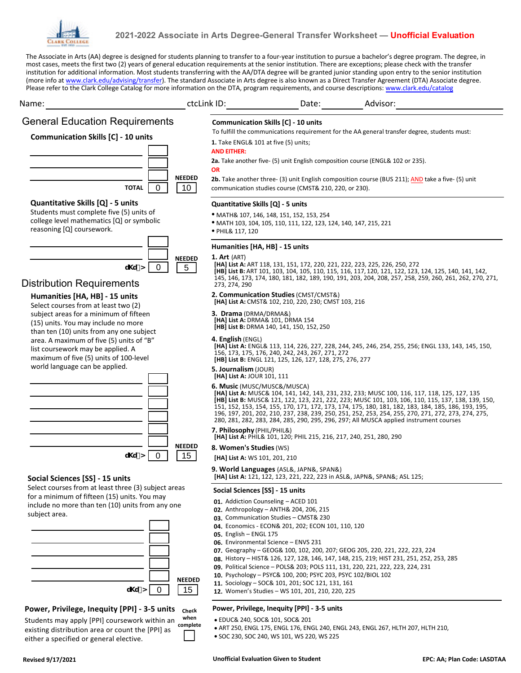

# **2021-2022 Associate in Arts Degree-General Transfer Worksheet — Unofficial Evaluation**

The Associate in Arts (AA) degree is designed for students planning to transfer to a four-year institution to pursue a bachelor's degree program. The degree, in most cases, meets the first two (2) years of general education requirements at the senior institution. There are exceptions; please check with the transfer institution for additional information. Most students transferring with the AA/DTA degree will be granted junior standing upon entry to the senior institution (more info at www.clark.edu/advising/transfer). The standard Associate in Arts degree is also known as a Direct Transfer Agreement (DTA) Associate degree.

| ctcLink ID: Date: Advisor:<br>Name:                                                                                                                                                                 |                                  |                                                       |                                                                                                                                                                                                                 |                                                                                                                                                                                                                                                                                                                                                                                                                 |
|-----------------------------------------------------------------------------------------------------------------------------------------------------------------------------------------------------|----------------------------------|-------------------------------------------------------|-----------------------------------------------------------------------------------------------------------------------------------------------------------------------------------------------------------------|-----------------------------------------------------------------------------------------------------------------------------------------------------------------------------------------------------------------------------------------------------------------------------------------------------------------------------------------------------------------------------------------------------------------|
| <b>General Education Requirements</b><br><b>Communication Skills [C] - 10 units</b>                                                                                                                 |                                  | <b>AND EITHER:</b>                                    | <b>Communication Skills [C] - 10 units</b><br>1. Take ENGL& 101 at five (5) units;                                                                                                                              | To fulfill the communications requirement for the AA general transfer degree, students must:<br>2a. Take another five- (5) unit English composition course (ENGL& 102 or 235).                                                                                                                                                                                                                                  |
| $\mathbf 0$<br><b>TOTAL</b>                                                                                                                                                                         | <b>NEEDED</b><br>10 <sup>1</sup> | <b>OR</b>                                             | communication studies course (CMST& 210, 220, or 230).                                                                                                                                                          | 2b. Take another three- (3) unit English composition course (BUS 211); AND take a five- (5) unit                                                                                                                                                                                                                                                                                                                |
| Quantitative Skills [Q] - 5 units<br>Students must complete five (5) units of<br>college level mathematics [Q] or symbolic<br>reasoning [Q] coursework.                                             |                                  | · PHIL& 117, 120                                      | Quantitative Skills [Q] - 5 units<br>• MATH& 107, 146, 148, 151, 152, 153, 254<br>• MATH 103, 104, 105, 110, 111, 122, 123, 124, 140, 147, 215, 221                                                             |                                                                                                                                                                                                                                                                                                                                                                                                                 |
| $\overline{\mathbf{0}}$<br>u\u O<br><b>Distribution Requirements</b>                                                                                                                                | <b>NEEDED</b><br>5               | <b>1. Art</b> (ART)<br>273, 274, 290                  | Humanities [HA, HB] - 15 units                                                                                                                                                                                  | [HA] List A: ART 118, 131, 151, 172, 220, 221, 222, 223, 225, 226, 250, 272<br>[HB] List B: ART 101, 103, 104, 105, 110, 115, 116, 117, 120, 121, 122, 123, 124, 125, 140, 141, 142,<br>145, 146, 173, 174, 180, 181, 182, 189, 190, 191, 203, 204, 208, 257, 258, 259, 260, 261, 262, 270, 271,                                                                                                                |
| Humanities [HA, HB] - 15 units<br>Select courses from at least two (2)<br>subject areas for a minimum of fifteen<br>(15) units. You may include no more<br>than ten (10) units from any one subject |                                  | 3. Drama (DRMA/DRMA&)<br>4. English (ENGL)            | 2. Communication Studies (CMST/CMST&)<br>[HA] List A: CMST& 102, 210, 220, 230; CMST 103, 216<br>[HA] List A: DRMA& 101, DRMA 154<br>[HB] List B: DRMA 140, 141, 150, 152, 250                                  |                                                                                                                                                                                                                                                                                                                                                                                                                 |
| area. A maximum of five (5) units of "B"<br>list coursework may be applied. A<br>maximum of five (5) units of 100-level<br>world language can be applied.                                           |                                  | 5. Journalism (JOUR)<br>[HA] List A: JOUR 101, 111    | 156, 173, 175, 176, 240, 242, 243, 267, 271, 272<br>[HB] List B: ENGL 121, 125, 126, 127, 128, 275, 276, 277<br>6. Music (MUSC/MUSC&/MUSCA)                                                                     | [HA] List A: ENGL& 113, 114, 226, 227, 228, 244, 245, 246, 254, 255, 256; ENGL 133, 143, 145, 150,<br>[HA] List A: MUSC& 104, 141, 142, 143, 231, 232, 233; MUSC 100, 116, 117, 118, 125, 127, 135<br>[HB] List B: MUSC& 121, 122, 123, 221, 222, 223; MUSC 101, 103, 106, 110, 115, 137, 138, 139, 150,<br>151, 152, 153, 154, 155, 170, 171, 172, 173, 174, 175, 180, 181, 182, 183, 184, 185, 186, 193, 195, |
|                                                                                                                                                                                                     | <b>NEEDED</b>                    | 7. Philosophy (PHIL/PHIL&)<br>8. Women's Studies (WS) | [HA] List A: PHIL& 101, 120; PHIL 215, 216, 217, 240, 251, 280, 290                                                                                                                                             | 196, 197, 201, 202, 210, 237, 238, 239, 250, 251, 252, 253, 254, 255, 270, 271, 272, 273, 274, 275,<br>280, 281, 282, 283, 284, 285, 290, 295, 296, 297; All MUSCA applied instrument courses                                                                                                                                                                                                                   |
| 0<br>u\u O<br>Social Sciences [SS] - 15 units<br>Select courses from at least three (3) subject areas                                                                                               | 15                               |                                                       | [HA] List A: WS 101, 201, 210<br>9. World Languages (ASL&, JAPN&, SPAN&)                                                                                                                                        | [HA] List A: 121, 122, 123, 221, 222, 223 in ASL&, JAPN&, SPAN&; ASL 125;                                                                                                                                                                                                                                                                                                                                       |
| for a minimum of fifteen (15) units. You may<br>include no more than ten (10) units from any one<br>subject area.                                                                                   |                                  | <b>05.</b> English – ENGL 175                         | Social Sciences [SS] - 15 units<br>01. Addiction Counseling - ACED 101<br>02. Anthropology - ANTH& 204, 206, 215<br>03. Communication Studies - CMST& 230<br>04. Economics - ECON& 201, 202; ECON 101, 110, 120 |                                                                                                                                                                                                                                                                                                                                                                                                                 |
|                                                                                                                                                                                                     |                                  |                                                       | 06. Environmental Science - ENVS 231<br>10. Psychology – PSYC& 100, 200; PSYC 203, PSYC 102/BIOL 102                                                                                                            | 07. Geography - GEOG& 100, 102, 200, 207; GEOG 205, 220, 221, 222, 223, 224<br>08. History - HIST& 126, 127, 128, 146, 147, 148, 215, 219; HIST 231, 251, 252, 253, 285<br>09. Political Science - POLS& 203; POLS 111, 131, 220, 221, 222, 223, 224, 231                                                                                                                                                       |
| u\u^O<br>$\mathbf 0$                                                                                                                                                                                | <b>NEEDED</b><br>15              |                                                       | 11. Sociology - SOC& 101, 201; SOC 121, 131, 161<br>12. Women's Studies - WS 101, 201, 210, 220, 225                                                                                                            |                                                                                                                                                                                                                                                                                                                                                                                                                 |

### **Power, Privilege, Inequity [PPI] - 3-5 units Check**

Students may apply [PPI] coursework within an **when** existing distribution area or count the [PPI] as either a specified or general elective. **complete**

## **Power, Privilege, Inequity [PPI] - 3-5 units**

- EDUC& 240, SOC& 101, SOC& 201 **•**
- ART 250, ENGL 175, ENGL 176, ENGL 240, ENGL 243, ENGL 267, HLTH 207, HLTH 210, **•**
- SOC 230, SOC 240, WS 101, WS 220, WS 225 **•**